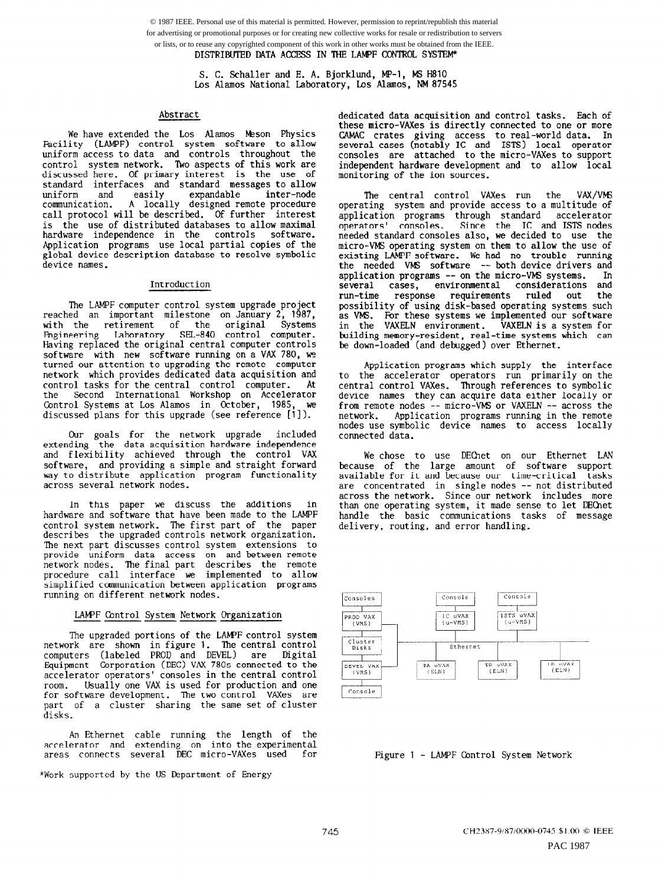S. C. Schaller and E. A. Bjorklund, MP-1, MS H810 Los Alamos National Laboratory, Los Alamos, NM 87545

#### Abstract

We have extended the Los Alamos Meson Physics Facility (LAMPF) control system software to allow uniform access to data and controls throughout the control system network. 'Iwo aspects of this work are discussed here. Of primary interest is the use of standard interfaces and standard messages to allow uniform and easily expandable inter-node<br>communication. A locally designed remote procedure A locally designed remote procedure call protocol will be described. Of further interest is the use of distributed databases to allow maximal hardware independence in the controls software. Application programs use local partial copies of the global device description database to resolve symbolic device names.

#### Introduction

The LAMPF computer control system upgrade project reached an important milestone on January 2, 1987, with the retirement of the Engineering Laboratory SEL-840 control computer. Having replaced the original central computer controls software with new software running on a VAX 780, we turned our attention to upgrading the remote computer network which provides dedicated data acquisition and control tasks for the central control computer. At the Second International Workshop on Accelerator Control Systems at Los Alamos in October, 1985, we discussed plans for this upgrade (see reference [1]).

Our goals for the network upgrade included extending the data acquisition hardware independence and flexibilitv achieved throueh the control VAX software, and providing a simple"and straight forward way to distribute application program functionality across several network nodes.

In this paper we discuss the additions in hardware and software that have been made to the LAMPF control system network. The first part of the paper describes the upgraded controls network organization. The next part discusses control system extensions to provide uniform data access on and between remote network nodes. The final part describes the remote procedure call interface we implemented to allow simplified communication between application programs running on different network nodes.

## LAMPF Control System Network Organization

The upgraded portions of the LAMPF control system network are shown in figure 1. The central control computers (labeled PROD and DEVEL) are Digital Equipment Corporation (DEC) VAX 780s connected to the accelerator operators' consoles in the central control room. Usually one VAX is used for production and one for software development. The two control VAXes are part of a cluster sharing the same set of cluster disks.

An Ethernet cable running the length of the accelerator and extending on into-the-experiment areas connects several DEC micro-VAXes used for

\*Work supported by the US Department of Energy

dedicated data acquisition and control tasks. Each of these micro-VAXes is directly connected to one or more CAMAC crates giving access to real-world data. In several cases (notably IC and ISTS) local operato consoles are attached to the micro-VAXes to support independent hardware development and to allow local monitoring of the ion sources.

The central control VAXes run the VAX/VM operating system and provide access to a multitude of application programs through standard accelerator<br>operators' consoles. Since the IC and ISTS nodes Since the IC and ISTS nodes needed standard consoles also, we decided to use the micro-VMS operating system on them to allow the use of existing LAMPF software. We had no trouble running the needed VM3 software -- both device drivers and application programs -- on the micro-VMS systems. In several cases, environmental considerations and several cases, environmental considerations and<br>run-time response requirements ruled out the response requirements ruled out possibility of using disk-based operating systems such as VMS. For these systems we implemented our software in the VAXELN environment. VAXELN is a system for building memory-resident, real-time systems which can be down-loaded (and debugged) over Ethernet.

Application programs which supply the interface to the accelerator operators run primarily on the central control VAXes. 'Ihrough references to symbolic device names they can acquire data either locally or from remote nodes -- micro-VkS or VAXEW -- across the network. Application programs running in the remote nodes use symbolic device names to access locally connected data.

We chose to use DECnet on our Ethernet LAN because of the large amount of software suppor available for it and because our time-critical task: are concentrated in single nodes -- not distributed across the network. Since our network includes more than one operating system, it made sense to let DECnet handle the basic communications tasks of message delivery, routing, and error handling.



Figure 1 - LAMPF Control System Network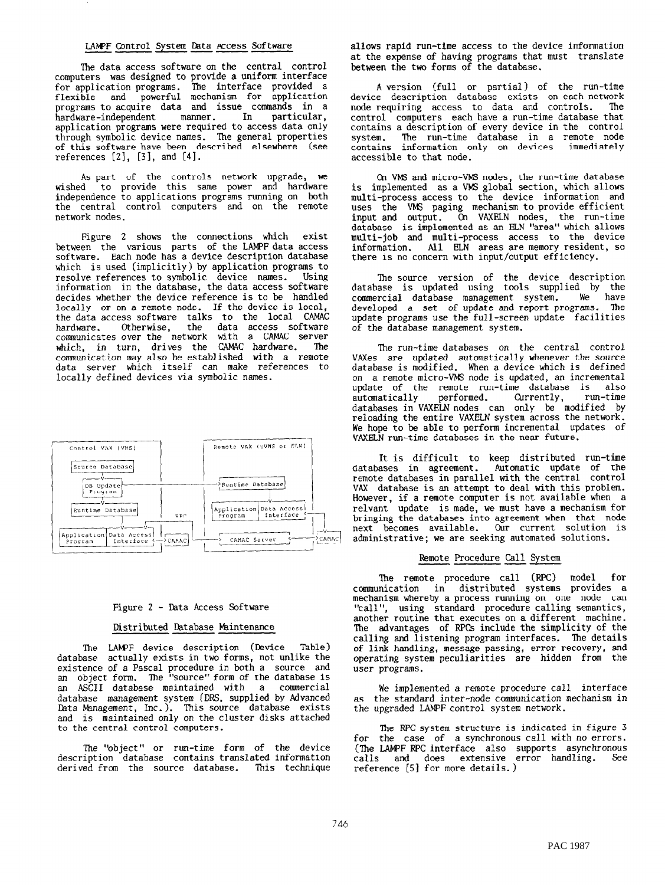#### LAMPF Control System Data Access Software

The data access software on the central control computers was designed to provide a uniform interface for application programs. The interface provided a<br>flexible and powerful mechanism for application programs to acquire data and issue commands in a manner. In particular, hardware-independent application programs were required to access data only through symbolic device names. The general properties of this software have been described elsewhere (see references  $[2]$ ,  $[3]$ , and  $[4]$ .

As part of the controls network upgrade, we<br>wished to provide this same power and hardware independence to applications programs running on both the central control computers and on the remote network nodes.

Figure 2 shows the connections which exist between the various parts of the LAMPF data access software. Each node has a device description database which is used (implicitly) by application programs to resolve references to symbolic device names. Using<br>information in the database, the data access software decides whether the device reference is to be handled locally or on a remote node. If the device is local, the data access software talks to the local CAMAC hardware. Otherwise, the data access software<br>communicates over the network with a CAMAC server<br>which, in turn, drives the CAMAC hardware. The communication may also be established with a remote data server which itself can make references to locally defined devices via symbolic names.



### Figure 2 - Data Access Software

#### Distributed Database Maintenance

The LAMPF device description (Device Table) database actually exists in two forms, not unlike the existence of a Pascal procedure in both a source and<br>an object form. The "source" form of the database is an ASCII database maintained with a commercial<br>database management system (DRS, supplied by Advanced Data Management, Inc.). This source database exists and is maintained only on the cluster disks attached to the central control computers.

The "object" or run-time form of the device description database contains translated information derived from the source database. This technique allows rapid run-time access to the device information at the expense of having programs that must translate<br>between the two forms of the database.

A version (full or partial) of the run-time device description database exists on each network<br>node requiring access to data and controls. The control computers each have a run-time database that contains a description of every device in the control The run-time database in a remote node system. system. The run-time database in a<br>contains information only on devices immediately accessible to that node.

On VMS and micro-VMS nodes, the run-time database<br>is implemented as a VMS global section, which allows multi-process access to the device information and uses the VMS paging mechanism to provide efficient<br>input and output. On VAXELN nodes, the run-time database is implemented as an ELN "area" which allows multi-job and multi-process access to the device information. All ELN areas are memory resident, so there is no concern with input/output efficiency.

The source version of the device description<br>database is updated using tools supplied by the commercial database management system. We have developed a set of update and report programs. The update programs use the full-screen update facilities of the database management system.

The run-time databases on the central control VAXes are updated automatically whenever the source database is modified. When a device which is defined<br>on a remote micro-VMS node is updated, an incremental update of the remote run-time database is also automatically performed. Currently, run-time<br>databases in VAXELN nodes can only be modified by<br>reloading the entire VAXELN system across the network. We hope to be able to perform incremental updates of VAXELN run-time databases in the near future.

It is difficult to keep distributed run-time databases in agreement. Automatic update of the<br>remote databases in parallel with the central control VAX database is an attempt to deal with this problem. However, if a remote computer is not available when a relvant update is made, we must have a mechanism for bringing the databases into agreement when that node next becomes available. Our current solution is administrative; we are seeking automated solutions.

## Remote Procedure Call System

The remote procedure call (RPC) model for communication in distributed systems provides a mechanism whereby a process running on one node can "call", using standard procedure calling semantics,<br>another routine that executes on a different machine. The advantages of RPCs include the simplicity of the calling and listening program interfaces. The details of link handling, message passing, error recovery, and<br>operating system peculiarities are hidden from the user programs.

We implemented a remote procedure call interface as the standard inter-node communication mechanism in the upgraded LAMPF control system network.

The RPC system structure is indicated in figure 3 for the case of a synchronous call with no errors.<br>(The LAMPF RPC interface also supports asynchronous calls and does extensive error handling. See reference [5] for more details.)